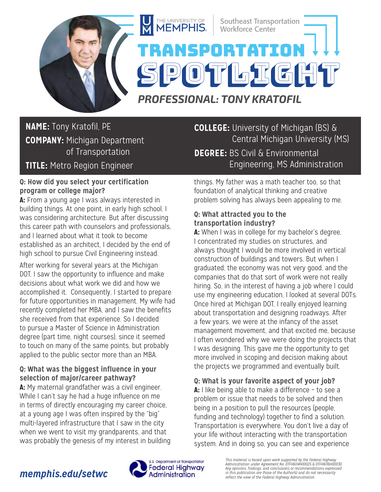

# **NAME:** Tony Kratofil, PE **COMPANY:** Michigan Department of Transportation

## **TITLE:** Metro Region Engineer

#### **Q: How did you select your certification program or college major?**

**A:** From a young age I was always interested in building things. At one point, in early high school, I was considering architecture. But after discussing this career path with counselors and professionals, and I learned about what it took to become established as an architect, I decided by the end of high school to pursue Civil Engineering instead.

After working for several years at the Michigan DOT, I saw the opportunity to influence and make decisions about what work we did and how we accomplished it. Consequently, I started to prepare for future opportunities in management. My wife had recently completed her MBA, and I saw the benefits she received from that experience. So I decided to pursue a Master of Science in Administration degree (part time, night courses), since it seemed to touch on many of the same points, but probably applied to the public sector more than an MBA.

### **Q: What was the biggest influence in your selection of major/career pathway?**

**A:** My maternal grandfather was a civil engineer. While I can't say he had a huge influence on me in terms of directly encouraging my career choice, at a young age I was often inspired by the "big" multi-layered infrastructure that I saw in the city when we went to visit my grandparents, and that was probably the genesis of my interest in building **COLLEGE:** University of Michigan (BS) & Central Michigan University (MS) **DEGREE:** BS Civil & Environmental Engineering, MS Administration

things. My father was a math teacher too, so that foundation of analytical thinking and creative problem solving has always been appealing to me.

### **Q: What attracted you to the transportation industry?**

**A:** When I was in college for my bachelor's degree, I concentrated my studies on structures, and always thought I would be more involved in vertical construction of buildings and towers. But when I graduated, the economy was not very good, and the companies that do that sort of work were not really hiring. So, in the interest of having a job where I could use my engineering education, I looked at several DOTs. Once hired at Michigan DOT, I really enjoyed learning about transportation and designing roadways. After a few years, we were at the infancy of the asset management movement, and that excited me, because I often wondered why we were doing the projects that I was designing. This gave me the opportunity to get more involved in scoping and decision making about the projects we programmed and eventually built.

**Q: What is your favorite aspect of your job?** 

**A:** I like being able to make a difference – to see a problem or issue that needs to be solved and then being in a position to pull the resources (people, funding and technology) together to find a solution. Transportation is everywhere. You don't live a day of your life without interacting with the transportation system. And in doing so, you can see and experience

# *memphis.edu/setwc*



*This material is based upon work supported by the Federal Highway Administration under Agreement No. DTFH6114H00025 & DTFH6116H00030.*  Any opinions, findings, and conclusions or recommendations expressed<br>in this publication are those of the Author(s) and do not necessarily<br>reflect the view of the Federal Highway Administration.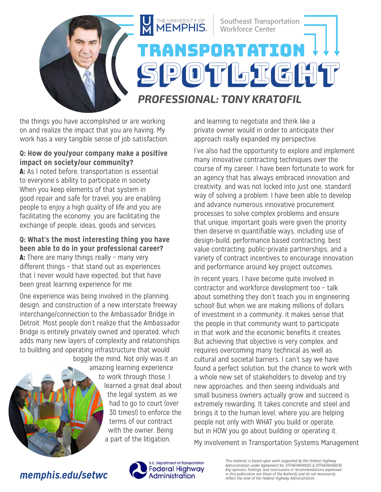

the things you have accomplished or are working on and realize the impact that you are having. My work has a very tangible sense of job satisfaction.

#### **Q: How do you/your company make a positive impact on society/our community?**

**A:** As I noted before, transportation is essential to everyone's ability to participate in society. When you keep elements of that system in good repair and safe for travel, you are enabling people to enjoy a high quality of life and you are facilitating the economy; you are facilitating the exchange of people, ideas, goods and services.

### **Q: What's the most interesting thing you have been able to do in your professional career?**

**A:** There are many things really – many very different things – that stand out as experiences that I never would have expected, but that have been great learning experience for me.

One experience was being involved in the planning, design, and construction of a new interstate freeway interchange/connection to the Ambassador Bridge in Detroit. Most people don't realize that the Ambassador Bridge is entirely privately owned and operated, which adds many new layers of complexity and relationships to building and operating infrastructure that would boggle the mind. Not only was it an



amazing learning experience to work through those, I learned a great deal about the legal system, as we had to go to court (over 30 times!) to enforce the terms of our contract with the owner. Being a part of the litigation,

and learning to negotiate and think like a private owner would in order to anticipate their approach really expanded my perspective.

I've also had the opportunity to explore and implement many innovative contracting techniques over the course of my career. I have been fortunate to work for an agency that has always embraced innovation and creativity, and was not locked into just one, standard way of solving a problem. I have been able to develop and advance numerous innovative procurement processes to solve complex problems and ensure that unique, important goals were given the priority then deserve in quantifiable ways, including use of design-build, performance based contracting, best value contracting, public-private partnerships, and a variety of contract incentives to encourage innovation and performance around key project outcomes.

In recent years, I have become quite involved in contractor and workforce development too – talk about something they don't teach you in engineering school! But when we are making millions of dollars of investment in a community, it makes sense that the people in that community want to participate in that work and the economic benefits it creates. But achieving that objective is very complex, and requires overcoming many technical as well as cultural and societal barriers. I can't say we have found a perfect solution, but the chance to work with a whole new set of stakeholders to develop and try new approaches, and then seeing individuals and small business owners actually grow and succeed is extremely rewarding. It takes concrete and steel and brings it to the human level, where you are helping people not only with WHAT you build or operate, but in HOW you go about building or operating it.

My involvement in Transportation Systems Management

## *memphis.edu/setwc*



*This material is based upon work supported by the Federal Highway Administration under Agreement No. DTFH6114H00025 & DTFH6116H00030. Any opinions, findings, and conclusions or recommendations expressed in this publication are those of the Author(s) and do not necessarily reflect the view of the Federal Highway Administration.*